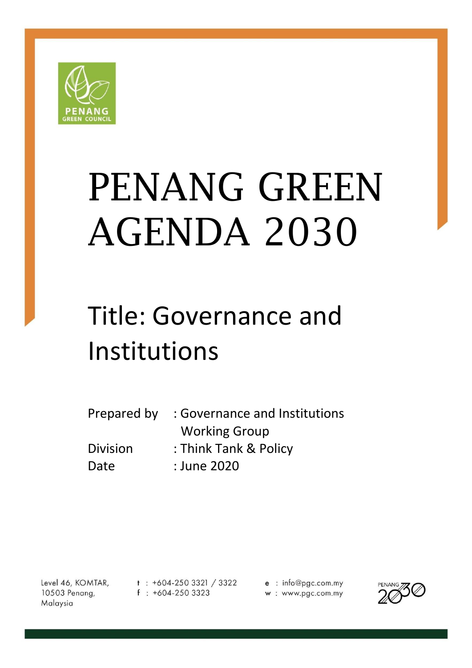

# PENANG GREEN AGENDA 2030

# Title: Governance and Institutions

| Prepared by     | : Governance and Institutions |
|-----------------|-------------------------------|
|                 | <b>Working Group</b>          |
| <b>Division</b> | : Think Tank & Policy         |
| Date            | : June 2020                   |

Level 46, KOMTAR, 10503 Penang, Malaysia

 $t : +604-2503321 / 3322$  $f : +604-2503323$ 

e : info@pgc.com.my w: www.pgc.com.my

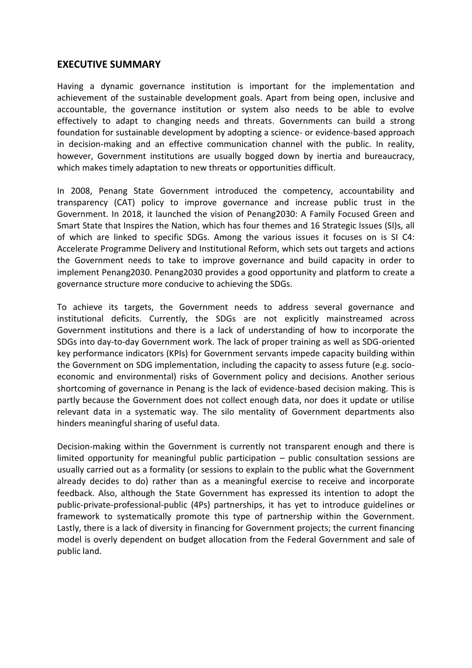#### **EXECUTIVE SUMMARY**

Having a dynamic governance institution is important for the implementation and achievement of the sustainable development goals. Apart from being open, inclusive and accountable, the governance institution or system also needs to be able to evolve effectively to adapt to changing needs and threats. Governments can build a strong foundation for sustainable development by adopting a science- or evidence-based approach in decision-making and an effective communication channel with the public. In reality, however, Government institutions are usually bogged down by inertia and bureaucracy, which makes timely adaptation to new threats or opportunities difficult.

In 2008, Penang State Government introduced the competency, accountability and transparency (CAT) policy to improve governance and increase public trust in the Government. In 2018, it launched the vision of Penang2030: A Family Focused Green and Smart State that Inspires the Nation, which has four themes and 16 Strategic Issues (SI)s, all of which are linked to specific SDGs. Among the various issues it focuses on is SI C4: Accelerate Programme Delivery and Institutional Reform, which sets out targets and actions the Government needs to take to improve governance and build capacity in order to implement Penang2030. Penang2030 provides a good opportunity and platform to create a governance structure more conducive to achieving the SDGs.

To achieve its targets, the Government needs to address several governance and institutional deficits. Currently, the SDGs are not explicitly mainstreamed across Government institutions and there is a lack of understanding of how to incorporate the SDGs into day-to-day Government work. The lack of proper training as well as SDG-oriented key performance indicators (KPIs) for Government servants impede capacity building within the Government on SDG implementation, including the capacity to assess future (e.g. socioeconomic and environmental) risks of Government policy and decisions. Another serious shortcoming of governance in Penang is the lack of evidence-based decision making. This is partly because the Government does not collect enough data, nor does it update or utilise relevant data in a systematic way. The silo mentality of Government departments also hinders meaningful sharing of useful data.

Decision-making within the Government is currently not transparent enough and there is limited opportunity for meaningful public participation – public consultation sessions are usually carried out as a formality (or sessions to explain to the public what the Government already decides to do) rather than as a meaningful exercise to receive and incorporate feedback. Also, although the State Government has expressed its intention to adopt the public-private-professional-public (4Ps) partnerships, it has yet to introduce guidelines or framework to systematically promote this type of partnership within the Government. Lastly, there is a lack of diversity in financing for Government projects; the current financing model is overly dependent on budget allocation from the Federal Government and sale of public land.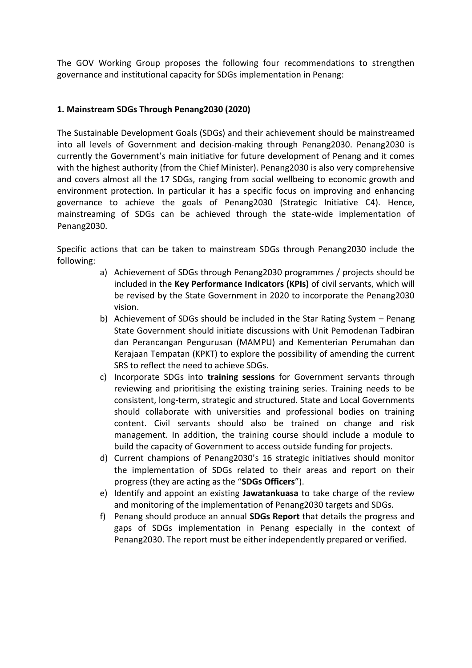The GOV Working Group proposes the following four recommendations to strengthen governance and institutional capacity for SDGs implementation in Penang:

#### **1. Mainstream SDGs Through Penang2030 (2020)**

The Sustainable Development Goals (SDGs) and their achievement should be mainstreamed into all levels of Government and decision-making through Penang2030. Penang2030 is currently the Government's main initiative for future development of Penang and it comes with the highest authority (from the Chief Minister). Penang2030 is also very comprehensive and covers almost all the 17 SDGs, ranging from social wellbeing to economic growth and environment protection. In particular it has a specific focus on improving and enhancing governance to achieve the goals of Penang2030 (Strategic Initiative C4). Hence, mainstreaming of SDGs can be achieved through the state-wide implementation of Penang2030.

Specific actions that can be taken to mainstream SDGs through Penang2030 include the following:

- a) Achievement of SDGs through Penang2030 programmes / projects should be included in the **Key Performance Indicators (KPIs)** of civil servants, which will be revised by the State Government in 2020 to incorporate the Penang2030 vision.
- b) Achievement of SDGs should be included in the Star Rating System Penang State Government should initiate discussions with Unit Pemodenan Tadbiran dan Perancangan Pengurusan (MAMPU) and Kementerian Perumahan dan Kerajaan Tempatan (KPKT) to explore the possibility of amending the current SRS to reflect the need to achieve SDGs.
- c) Incorporate SDGs into **training sessions** for Government servants through reviewing and prioritising the existing training series. Training needs to be consistent, long-term, strategic and structured. State and Local Governments should collaborate with universities and professional bodies on training content. Civil servants should also be trained on change and risk management. In addition, the training course should include a module to build the capacity of Government to access outside funding for projects.
- d) Current champions of Penang2030's 16 strategic initiatives should monitor the implementation of SDGs related to their areas and report on their progress (they are acting as the "**SDGs Officers**").
- e) Identify and appoint an existing **Jawatankuasa** to take charge of the review and monitoring of the implementation of Penang2030 targets and SDGs.
- f) Penang should produce an annual **SDGs Report** that details the progress and gaps of SDGs implementation in Penang especially in the context of Penang2030. The report must be either independently prepared or verified.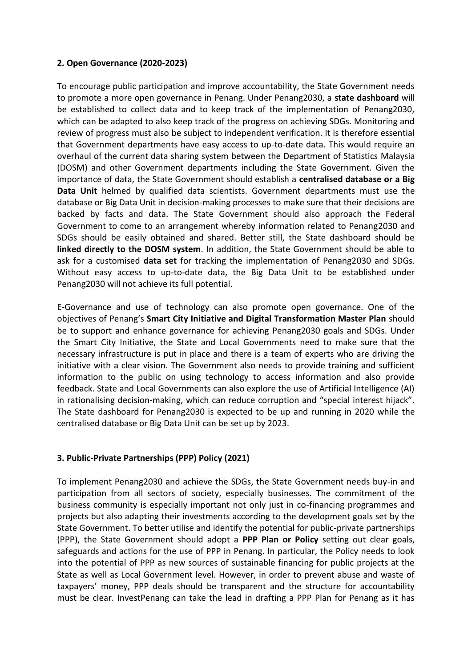#### **2. Open Governance (2020-2023)**

To encourage public participation and improve accountability, the State Government needs to promote a more open governance in Penang. Under Penang2030, a **state dashboard** will be established to collect data and to keep track of the implementation of Penang2030, which can be adapted to also keep track of the progress on achieving SDGs. Monitoring and review of progress must also be subject to independent verification. It is therefore essential that Government departments have easy access to up-to-date data. This would require an overhaul of the current data sharing system between the Department of Statistics Malaysia (DOSM) and other Government departments including the State Government. Given the importance of data, the State Government should establish a **centralised database or a Big Data Unit** helmed by qualified data scientists. Government departments must use the database or Big Data Unit in decision-making processes to make sure that their decisions are backed by facts and data. The State Government should also approach the Federal Government to come to an arrangement whereby information related to Penang2030 and SDGs should be easily obtained and shared. Better still, the State dashboard should be **linked directly to the DOSM system**. In addition, the State Government should be able to ask for a customised **data set** for tracking the implementation of Penang2030 and SDGs. Without easy access to up-to-date data, the Big Data Unit to be established under Penang2030 will not achieve its full potential.

E-Governance and use of technology can also promote open governance. One of the objectives of Penang's **Smart City Initiative and Digital Transformation Master Plan** should be to support and enhance governance for achieving Penang2030 goals and SDGs. Under the Smart City Initiative, the State and Local Governments need to make sure that the necessary infrastructure is put in place and there is a team of experts who are driving the initiative with a clear vision. The Government also needs to provide training and sufficient information to the public on using technology to access information and also provide feedback. State and Local Governments can also explore the use of Artificial Intelligence (AI) in rationalising decision-making, which can reduce corruption and "special interest hijack". The State dashboard for Penang2030 is expected to be up and running in 2020 while the centralised database or Big Data Unit can be set up by 2023.

#### **3. Public-Private Partnerships (PPP) Policy (2021)**

To implement Penang2030 and achieve the SDGs, the State Government needs buy-in and participation from all sectors of society, especially businesses. The commitment of the business community is especially important not only just in co-financing programmes and projects but also adapting their investments according to the development goals set by the State Government. To better utilise and identify the potential for public-private partnerships (PPP), the State Government should adopt a **PPP Plan or Policy** setting out clear goals, safeguards and actions for the use of PPP in Penang. In particular, the Policy needs to look into the potential of PPP as new sources of sustainable financing for public projects at the State as well as Local Government level. However, in order to prevent abuse and waste of taxpayers' money, PPP deals should be transparent and the structure for accountability must be clear. InvestPenang can take the lead in drafting a PPP Plan for Penang as it has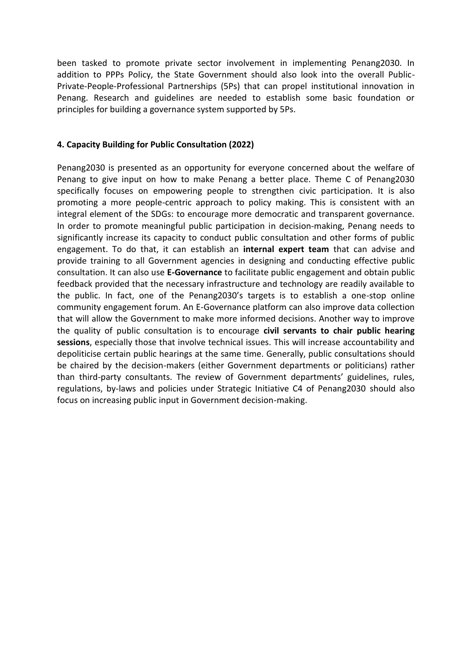been tasked to promote private sector involvement in implementing Penang2030. In addition to PPPs Policy, the State Government should also look into the overall Public-Private-People-Professional Partnerships (5Ps) that can propel institutional innovation in Penang. Research and guidelines are needed to establish some basic foundation or principles for building a governance system supported by 5Ps.

#### **4. Capacity Building for Public Consultation (2022)**

Penang2030 is presented as an opportunity for everyone concerned about the welfare of Penang to give input on how to make Penang a better place. Theme C of Penang2030 specifically focuses on empowering people to strengthen civic participation. It is also promoting a more people-centric approach to policy making. This is consistent with an integral element of the SDGs: to encourage more democratic and transparent governance. In order to promote meaningful public participation in decision-making, Penang needs to significantly increase its capacity to conduct public consultation and other forms of public engagement. To do that, it can establish an **internal expert team** that can advise and provide training to all Government agencies in designing and conducting effective public consultation. It can also use **E-Governance** to facilitate public engagement and obtain public feedback provided that the necessary infrastructure and technology are readily available to the public. In fact, one of the Penang2030's targets is to establish a one-stop online community engagement forum. An E-Governance platform can also improve data collection that will allow the Government to make more informed decisions. Another way to improve the quality of public consultation is to encourage **civil servants to chair public hearing sessions**, especially those that involve technical issues. This will increase accountability and depoliticise certain public hearings at the same time. Generally, public consultations should be chaired by the decision-makers (either Government departments or politicians) rather than third-party consultants. The review of Government departments' guidelines, rules, regulations, by-laws and policies under Strategic Initiative C4 of Penang2030 should also focus on increasing public input in Government decision-making.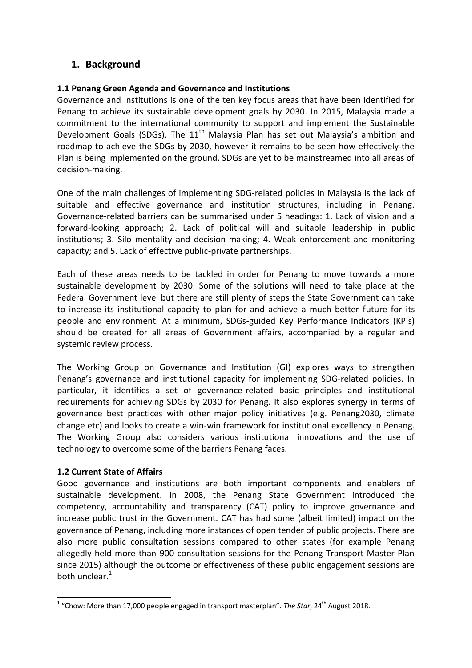# **1. Background**

#### **1.1 Penang Green Agenda and Governance and Institutions**

Governance and Institutions is one of the ten key focus areas that have been identified for Penang to achieve its sustainable development goals by 2030. In 2015, Malaysia made a commitment to the international community to support and implement the Sustainable Development Goals (SDGs). The  $11<sup>th</sup>$  Malaysia Plan has set out Malaysia's ambition and roadmap to achieve the SDGs by 2030, however it remains to be seen how effectively the Plan is being implemented on the ground. SDGs are yet to be mainstreamed into all areas of decision-making.

One of the main challenges of implementing SDG-related policies in Malaysia is the lack of suitable and effective governance and institution structures, including in Penang. Governance-related barriers can be summarised under 5 headings: 1. Lack of vision and a forward-looking approach; 2. Lack of political will and suitable leadership in public institutions; 3. Silo mentality and decision-making; 4. Weak enforcement and monitoring capacity; and 5. Lack of effective public-private partnerships.

Each of these areas needs to be tackled in order for Penang to move towards a more sustainable development by 2030. Some of the solutions will need to take place at the Federal Government level but there are still plenty of steps the State Government can take to increase its institutional capacity to plan for and achieve a much better future for its people and environment. At a minimum, SDGs-guided Key Performance Indicators (KPIs) should be created for all areas of Government affairs, accompanied by a regular and systemic review process.

The Working Group on Governance and Institution (GI) explores ways to strengthen Penang's governance and institutional capacity for implementing SDG-related policies. In particular, it identifies a set of governance-related basic principles and institutional requirements for achieving SDGs by 2030 for Penang. It also explores synergy in terms of governance best practices with other major policy initiatives (e.g. Penang2030, climate change etc) and looks to create a win-win framework for institutional excellency in Penang. The Working Group also considers various institutional innovations and the use of technology to overcome some of the barriers Penang faces.

#### **1.2 Current State of Affairs**

Good governance and institutions are both important components and enablers of sustainable development. In 2008, the Penang State Government introduced the competency, accountability and transparency (CAT) policy to improve governance and increase public trust in the Government. CAT has had some (albeit limited) impact on the governance of Penang, including more instances of open tender of public projects. There are also more public consultation sessions compared to other states (for example Penang allegedly held more than 900 consultation sessions for the Penang Transport Master Plan since 2015) although the outcome or effectiveness of these public engagement sessions are both unclear.<sup>1</sup>

 1 "Chow: More than 17,000 people engaged in transport masterplan". *The Star*, 24th August 2018.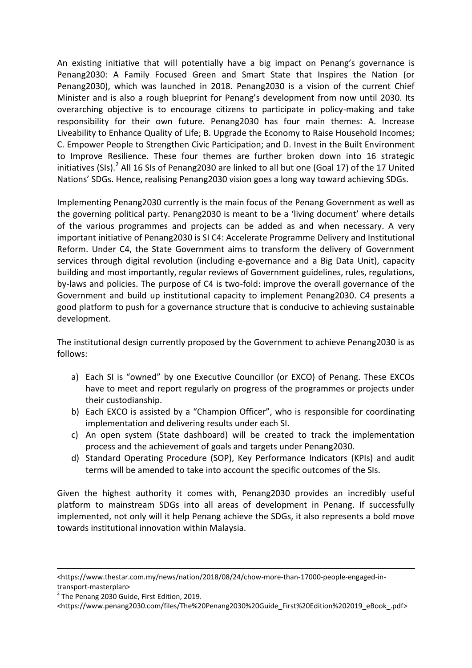An existing initiative that will potentially have a big impact on Penang's governance is Penang2030: A Family Focused Green and Smart State that Inspires the Nation (or Penang2030), which was launched in 2018. Penang2030 is a vision of the current Chief Minister and is also a rough blueprint for Penang's development from now until 2030. Its overarching objective is to encourage citizens to participate in policy-making and take responsibility for their own future. Penang2030 has four main themes: A. Increase Liveability to Enhance Quality of Life; B. Upgrade the Economy to Raise Household Incomes; C. Empower People to Strengthen Civic Participation; and D. Invest in the Built Environment to Improve Resilience. These four themes are further broken down into 16 strategic initiatives (SIs).<sup>2</sup> All 16 SIs of Penang2030 are linked to all but one (Goal 17) of the 17 United Nations' SDGs. Hence, realising Penang2030 vision goes a long way toward achieving SDGs.

Implementing Penang2030 currently is the main focus of the Penang Government as well as the governing political party. Penang2030 is meant to be a 'living document' where details of the various programmes and projects can be added as and when necessary. A very important initiative of Penang2030 is SI C4: Accelerate Programme Delivery and Institutional Reform. Under C4, the State Government aims to transform the delivery of Government services through digital revolution (including e-governance and a Big Data Unit), capacity building and most importantly, regular reviews of Government guidelines, rules, regulations, by-laws and policies. The purpose of C4 is two-fold: improve the overall governance of the Government and build up institutional capacity to implement Penang2030. C4 presents a good platform to push for a governance structure that is conducive to achieving sustainable development.

The institutional design currently proposed by the Government to achieve Penang2030 is as follows:

- a) Each SI is "owned" by one Executive Councillor (or EXCO) of Penang. These EXCOs have to meet and report regularly on progress of the programmes or projects under their custodianship.
- b) Each EXCO is assisted by a "Champion Officer", who is responsible for coordinating implementation and delivering results under each SI.
- c) An open system (State dashboard) will be created to track the implementation process and the achievement of goals and targets under Penang2030.
- d) Standard Operating Procedure (SOP), Key Performance Indicators (KPIs) and audit terms will be amended to take into account the specific outcomes of the SIs.

Given the highest authority it comes with, Penang2030 provides an incredibly useful platform to mainstream SDGs into all areas of development in Penang. If successfully implemented, not only will it help Penang achieve the SDGs, it also represents a bold move towards institutional innovation within Malaysia.

**.** 

<sup>&</sup>lt;https://www.thestar.com.my/news/nation/2018/08/24/chow-more-than-17000-people-engaged-intransport-masterplan>

 $2$  The Penang 2030 Guide, First Edition, 2019.

[<sup>&</sup>lt;https://www.penang2030.com/files/The%20Penang2030%20Guide\\_First%20Edition%202019\\_eBook\\_.pdf>](https://www.penang2030.com/files/The%20Penang2030%20Guide_First%20Edition%202019_eBook_.pdf)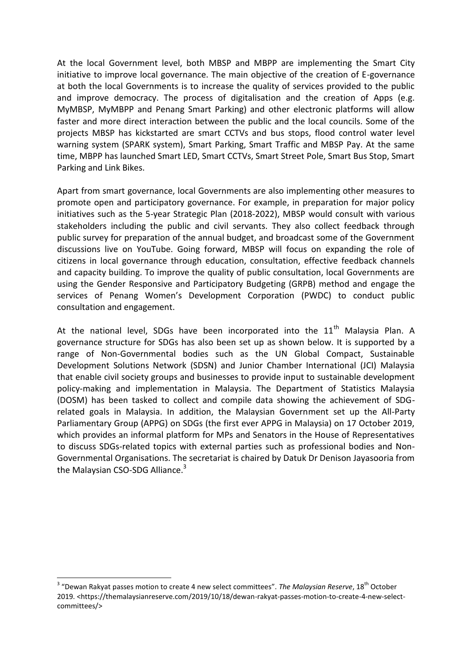At the local Government level, both MBSP and MBPP are implementing the Smart City initiative to improve local governance. The main objective of the creation of E-governance at both the local Governments is to increase the quality of services provided to the public and improve democracy. The process of digitalisation and the creation of Apps (e.g. MyMBSP, MyMBPP and Penang Smart Parking) and other electronic platforms will allow faster and more direct interaction between the public and the local councils. Some of the projects MBSP has kickstarted are smart CCTVs and bus stops, flood control water level warning system (SPARK system), Smart Parking, Smart Traffic and MBSP Pay. At the same time, MBPP has launched Smart LED, Smart CCTVs, Smart Street Pole, Smart Bus Stop, Smart Parking and Link Bikes.

Apart from smart governance, local Governments are also implementing other measures to promote open and participatory governance. For example, in preparation for major policy initiatives such as the 5-year Strategic Plan (2018-2022), MBSP would consult with various stakeholders including the public and civil servants. They also collect feedback through public survey for preparation of the annual budget, and broadcast some of the Government discussions live on YouTube. Going forward, MBSP will focus on expanding the role of citizens in local governance through education, consultation, effective feedback channels and capacity building. To improve the quality of public consultation, local Governments are using the Gender Responsive and Participatory Budgeting (GRPB) method and engage the services of Penang Women's Development Corporation (PWDC) to conduct public consultation and engagement.

At the national level, SDGs have been incorporated into the  $11<sup>th</sup>$  Malaysia Plan. A governance structure for SDGs has also been set up as shown below. It is supported by a range of Non-Governmental bodies such as the UN Global Compact, Sustainable Development Solutions Network (SDSN) and Junior Chamber International (JCI) Malaysia that enable civil society groups and businesses to provide input to sustainable development policy-making and implementation in Malaysia. The Department of Statistics Malaysia (DOSM) has been tasked to collect and compile data showing the achievement of SDGrelated goals in Malaysia. In addition, the Malaysian Government set up the All-Party Parliamentary Group (APPG) on SDGs (the first ever APPG in Malaysia) on 17 October 2019, which provides an informal platform for MPs and Senators in the House of Representatives to discuss SDGs-related topics with external parties such as professional bodies and Non-Governmental Organisations. The secretariat is chaired by Datuk Dr Denison Jayasooria from the Malaysian CSO-SDG Alliance.<sup>3</sup>

1

<sup>&</sup>lt;sup>3</sup> "Dewan Rakyat passes motion to create 4 new select committees". *The Malaysian Reserve*, 18<sup>th</sup> October 2019. [<https://themalaysianreserve.com/2019/10/18/dewan-rakyat-passes-motion-to-create-4-new-select](https://themalaysianreserve.com/2019/10/18/dewan-rakyat-passes-motion-to-create-4-new-select-committees/)[committees/>](https://themalaysianreserve.com/2019/10/18/dewan-rakyat-passes-motion-to-create-4-new-select-committees/)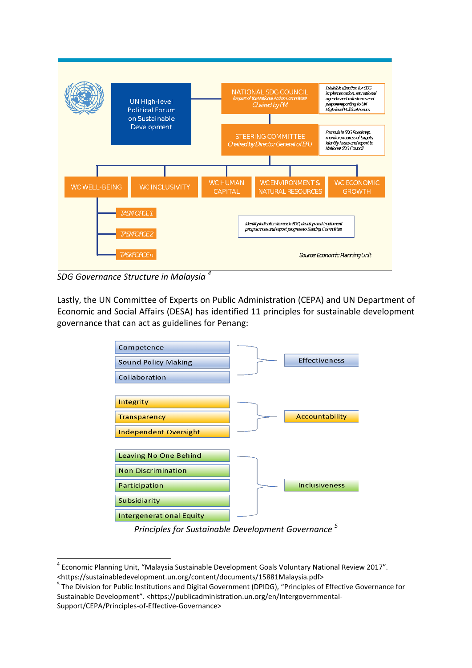

*SDG Governance Structure in Malaysia <sup>4</sup>*

**.** 

Lastly, the UN Committee of Experts on Public Administration (CEPA) and UN Department of Economic and Social Affairs (DESA) has identified 11 principles for sustainable development governance that can act as guidelines for Penang:



*Principles for Sustainable Development Governance <sup>5</sup>*

<sup>&</sup>lt;sup>4</sup> Economic Planning Unit, "Malaysia Sustainable Development Goals Voluntary National Review 2017". <https://sustainabledevelopment.un.org/content/documents/15881Malaysia.pdf>

<sup>&</sup>lt;sup>5</sup> The Division for Public Institutions and Digital Government (DPIDG), "Principles of Effective Governance for Sustainable Development". <https://publicadministration.un.org/en/Intergovernmental-Support/CEPA/Principles-of-Effective-Governance>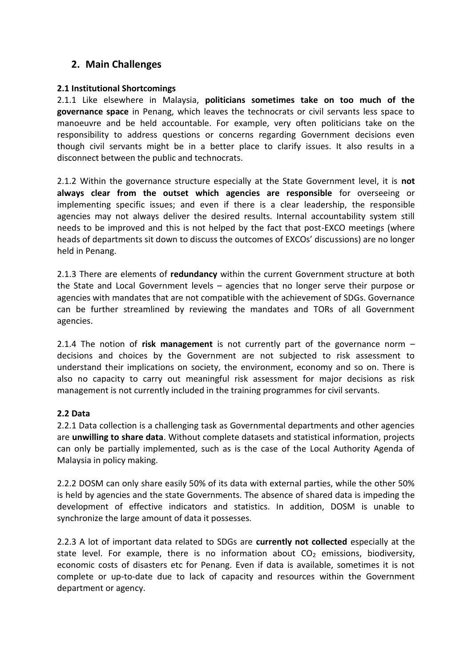# **2. Main Challenges**

#### **2.1 Institutional Shortcomings**

2.1.1 Like elsewhere in Malaysia, **politicians sometimes take on too much of the governance space** in Penang, which leaves the technocrats or civil servants less space to manoeuvre and be held accountable. For example, very often politicians take on the responsibility to address questions or concerns regarding Government decisions even though civil servants might be in a better place to clarify issues. It also results in a disconnect between the public and technocrats.

2.1.2 Within the governance structure especially at the State Government level, it is **not always clear from the outset which agencies are responsible** for overseeing or implementing specific issues; and even if there is a clear leadership, the responsible agencies may not always deliver the desired results. Internal accountability system still needs to be improved and this is not helped by the fact that post-EXCO meetings (where heads of departments sit down to discuss the outcomes of EXCOs' discussions) are no longer held in Penang.

2.1.3 There are elements of **redundancy** within the current Government structure at both the State and Local Government levels – agencies that no longer serve their purpose or agencies with mandates that are not compatible with the achievement of SDGs. Governance can be further streamlined by reviewing the mandates and TORs of all Government agencies.

2.1.4 The notion of **risk management** is not currently part of the governance norm – decisions and choices by the Government are not subjected to risk assessment to understand their implications on society, the environment, economy and so on. There is also no capacity to carry out meaningful risk assessment for major decisions as risk management is not currently included in the training programmes for civil servants.

#### **2.2 Data**

2.2.1 Data collection is a challenging task as Governmental departments and other agencies are **unwilling to share data**. Without complete datasets and statistical information, projects can only be partially implemented, such as is the case of the Local Authority Agenda of Malaysia in policy making.

2.2.2 DOSM can only share easily 50% of its data with external parties, while the other 50% is held by agencies and the state Governments. The absence of shared data is impeding the development of effective indicators and statistics. In addition, DOSM is unable to synchronize the large amount of data it possesses.

2.2.3 A lot of important data related to SDGs are **currently not collected** especially at the state level. For example, there is no information about  $CO<sub>2</sub>$  emissions, biodiversity, economic costs of disasters etc for Penang. Even if data is available, sometimes it is not complete or up-to-date due to lack of capacity and resources within the Government department or agency.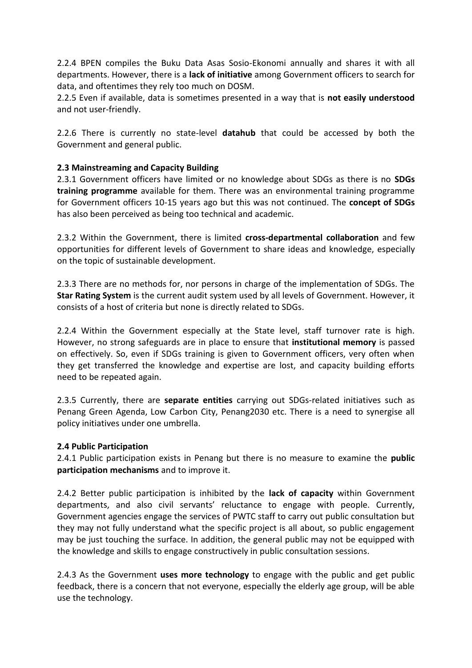2.2.4 BPEN compiles the Buku Data Asas Sosio-Ekonomi annually and shares it with all departments. However, there is a **lack of initiative** among Government officers to search for data, and oftentimes they rely too much on DOSM.

2.2.5 Even if available, data is sometimes presented in a way that is **not easily understood** and not user-friendly.

2.2.6 There is currently no state-level **datahub** that could be accessed by both the Government and general public.

#### **2.3 Mainstreaming and Capacity Building**

2.3.1 Government officers have limited or no knowledge about SDGs as there is no **SDGs training programme** available for them. There was an environmental training programme for Government officers 10-15 years ago but this was not continued. The **concept of SDGs** has also been perceived as being too technical and academic.

2.3.2 Within the Government, there is limited **cross-departmental collaboration** and few opportunities for different levels of Government to share ideas and knowledge, especially on the topic of sustainable development.

2.3.3 There are no methods for, nor persons in charge of the implementation of SDGs. The **Star Rating System** is the current audit system used by all levels of Government. However, it consists of a host of criteria but none is directly related to SDGs.

2.2.4 Within the Government especially at the State level, staff turnover rate is high. However, no strong safeguards are in place to ensure that **institutional memory** is passed on effectively. So, even if SDGs training is given to Government officers, very often when they get transferred the knowledge and expertise are lost, and capacity building efforts need to be repeated again.

2.3.5 Currently, there are **separate entities** carrying out SDGs-related initiatives such as Penang Green Agenda, Low Carbon City, Penang2030 etc. There is a need to synergise all policy initiatives under one umbrella.

#### **2.4 Public Participation**

2.4.1 Public participation exists in Penang but there is no measure to examine the **public participation mechanisms** and to improve it.

2.4.2 Better public participation is inhibited by the **lack of capacity** within Government departments, and also civil servants' reluctance to engage with people. Currently, Government agencies engage the services of PWTC staff to carry out public consultation but they may not fully understand what the specific project is all about, so public engagement may be just touching the surface. In addition, the general public may not be equipped with the knowledge and skills to engage constructively in public consultation sessions.

2.4.3 As the Government **uses more technology** to engage with the public and get public feedback, there is a concern that not everyone, especially the elderly age group, will be able use the technology.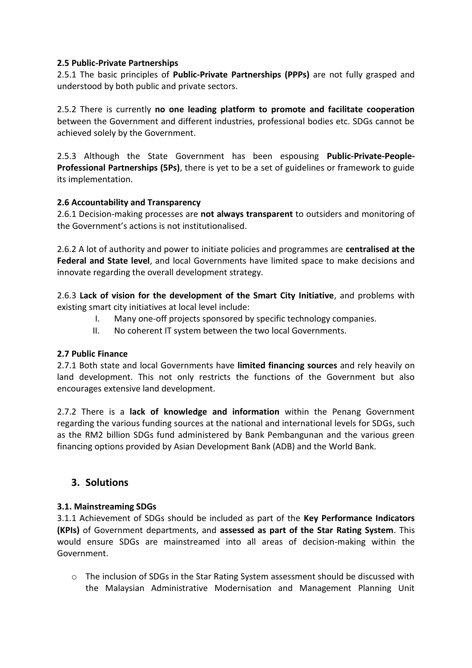#### **2.5 Public-Private Partnerships**

2.5.1 The basic principles of **Public-Private Partnerships (PPPs)** are not fully grasped and understood by both public and private sectors.

2.5.2 There is currently **no one leading platform to promote and facilitate cooperation** between the Government and different industries, professional bodies etc. SDGs cannot be achieved solely by the Government.

2.5.3 Although the State Government has been espousing **Public-Private-People-Professional Partnerships (5Ps)**, there is yet to be a set of guidelines or framework to guide its implementation.

#### **2.6 Accountability and Transparency**

2.6.1 Decision-making processes are **not always transparent** to outsiders and monitoring of the Government's actions is not institutionalised.

2.6.2 A lot of authority and power to initiate policies and programmes are **centralised at the Federal and State level**, and local Governments have limited space to make decisions and innovate regarding the overall development strategy.

2.6.3 **Lack of vision for the development of the Smart City Initiative**, and problems with existing smart city initiatives at local level include:

- I. Many one-off projects sponsored by specific technology companies.
- II. No coherent IT system between the two local Governments.

#### **2.7 Public Finance**

2.7.1 Both state and local Governments have **limited financing sources** and rely heavily on land development. This not only restricts the functions of the Government but also encourages extensive land development.

2.7.2 There is a **lack of knowledge and information** within the Penang Government regarding the various funding sources at the national and international levels for SDGs, such as the RM2 billion SDGs fund administered by Bank Pembangunan and the various green financing options provided by Asian Development Bank (ADB) and the World Bank.

# **3. Solutions**

#### **3.1. Mainstreaming SDGs**

3.1.1 Achievement of SDGs should be included as part of the **Key Performance Indicators (KPIs)** of Government departments, and **assessed as part of the Star Rating System**. This would ensure SDGs are mainstreamed into all areas of decision-making within the Government.

o The inclusion of SDGs in the Star Rating System assessment should be discussed with the Malaysian Administrative Modernisation and Management Planning Unit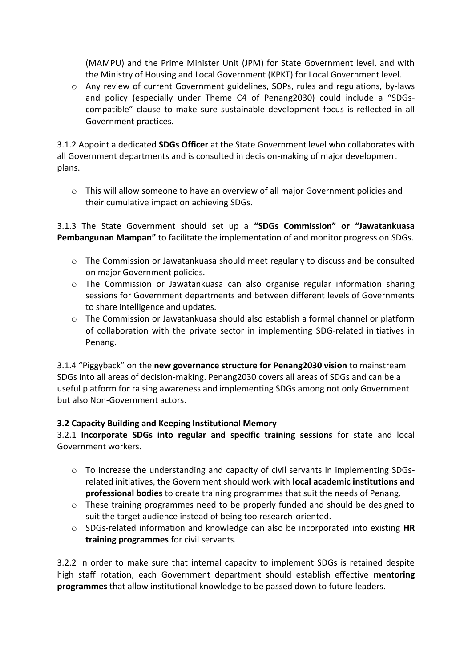(MAMPU) and the Prime Minister Unit (JPM) for State Government level, and with the Ministry of Housing and Local Government (KPKT) for Local Government level.

 $\circ$  Any review of current Government guidelines. SOPs, rules and regulations, by-laws and policy (especially under Theme C4 of Penang2030) could include a "SDGscompatible" clause to make sure sustainable development focus is reflected in all Government practices.

3.1.2 Appoint a dedicated **SDGs Officer** at the State Government level who collaborates with all Government departments and is consulted in decision-making of major development plans.

 $\circ$  This will allow someone to have an overview of all major Government policies and their cumulative impact on achieving SDGs.

3.1.3 The State Government should set up a **"SDGs Commission" or "Jawatankuasa Pembangunan Mampan"** to facilitate the implementation of and monitor progress on SDGs.

- o The Commission or Jawatankuasa should meet regularly to discuss and be consulted on major Government policies.
- o The Commission or Jawatankuasa can also organise regular information sharing sessions for Government departments and between different levels of Governments to share intelligence and updates.
- o The Commission or Jawatankuasa should also establish a formal channel or platform of collaboration with the private sector in implementing SDG-related initiatives in Penang.

3.1.4 "Piggyback" on the **new governance structure for Penang2030 vision** to mainstream SDGs into all areas of decision-making. Penang2030 covers all areas of SDGs and can be a useful platform for raising awareness and implementing SDGs among not only Government but also Non-Government actors.

#### **3.2 Capacity Building and Keeping Institutional Memory**

3.2.1 **Incorporate SDGs into regular and specific training sessions** for state and local Government workers.

- o To increase the understanding and capacity of civil servants in implementing SDGsrelated initiatives, the Government should work with **local academic institutions and professional bodies** to create training programmes that suit the needs of Penang.
- $\circ$  These training programmes need to be properly funded and should be designed to suit the target audience instead of being too research-oriented.
- o SDGs-related information and knowledge can also be incorporated into existing **HR training programmes** for civil servants.

3.2.2 In order to make sure that internal capacity to implement SDGs is retained despite high staff rotation, each Government department should establish effective **mentoring programmes** that allow institutional knowledge to be passed down to future leaders.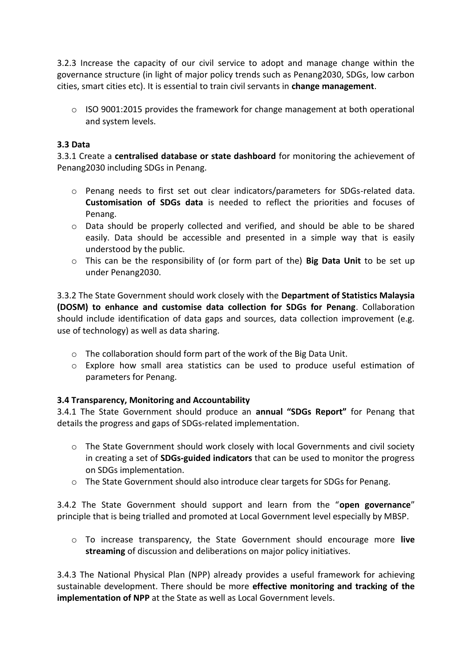3.2.3 Increase the capacity of our civil service to adopt and manage change within the governance structure (in light of major policy trends such as Penang2030, SDGs, low carbon cities, smart cities etc). It is essential to train civil servants in **change management**.

 $\circ$  ISO 9001:2015 provides the framework for change management at both operational and system levels.

#### **3.3 Data**

3.3.1 Create a **centralised database or state dashboard** for monitoring the achievement of Penang2030 including SDGs in Penang.

- o Penang needs to first set out clear indicators/parameters for SDGs-related data. **Customisation of SDGs data** is needed to reflect the priorities and focuses of Penang.
- o Data should be properly collected and verified, and should be able to be shared easily. Data should be accessible and presented in a simple way that is easily understood by the public.
- o This can be the responsibility of (or form part of the) **Big Data Unit** to be set up under Penang2030.

3.3.2 The State Government should work closely with the **Department of Statistics Malaysia (DOSM) to enhance and customise data collection for SDGs for Penang**. Collaboration should include identification of data gaps and sources, data collection improvement (e.g. use of technology) as well as data sharing.

- o The collaboration should form part of the work of the Big Data Unit.
- o Explore how small area statistics can be used to produce useful estimation of parameters for Penang.

#### **3.4 Transparency, Monitoring and Accountability**

3.4.1 The State Government should produce an **annual "SDGs Report"** for Penang that details the progress and gaps of SDGs-related implementation.

- o The State Government should work closely with local Governments and civil society in creating a set of **SDGs-guided indicators** that can be used to monitor the progress on SDGs implementation.
- o The State Government should also introduce clear targets for SDGs for Penang.

3.4.2 The State Government should support and learn from the "**open governance**" principle that is being trialled and promoted at Local Government level especially by MBSP.

o To increase transparency, the State Government should encourage more **live streaming** of discussion and deliberations on major policy initiatives.

3.4.3 The National Physical Plan (NPP) already provides a useful framework for achieving sustainable development. There should be more **effective monitoring and tracking of the implementation of NPP** at the State as well as Local Government levels.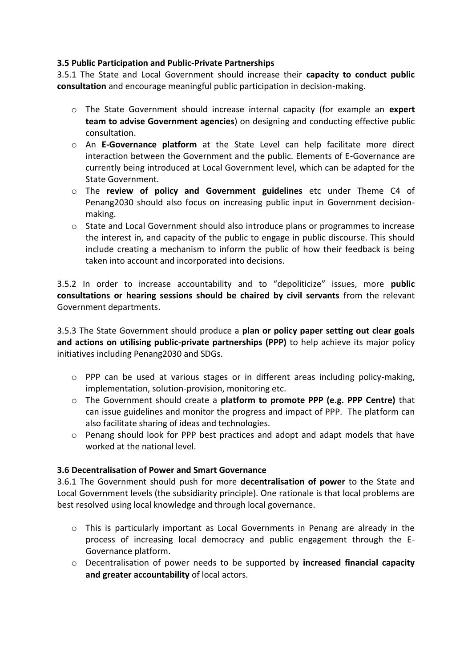#### **3.5 Public Participation and Public-Private Partnerships**

3.5.1 The State and Local Government should increase their **capacity to conduct public consultation** and encourage meaningful public participation in decision-making.

- o The State Government should increase internal capacity (for example an **expert team to advise Government agencies**) on designing and conducting effective public consultation.
- o An **E-Governance platform** at the State Level can help facilitate more direct interaction between the Government and the public. Elements of E-Governance are currently being introduced at Local Government level, which can be adapted for the State Government.
- o The **review of policy and Government guidelines** etc under Theme C4 of Penang2030 should also focus on increasing public input in Government decisionmaking.
- o State and Local Government should also introduce plans or programmes to increase the interest in, and capacity of the public to engage in public discourse. This should include creating a mechanism to inform the public of how their feedback is being taken into account and incorporated into decisions.

3.5.2 In order to increase accountability and to "depoliticize" issues, more **public consultations or hearing sessions should be chaired by civil servants** from the relevant Government departments.

3.5.3 The State Government should produce a **plan or policy paper setting out clear goals and actions on utilising public-private partnerships (PPP)** to help achieve its major policy initiatives including Penang2030 and SDGs.

- o PPP can be used at various stages or in different areas including policy-making, implementation, solution-provision, monitoring etc.
- o The Government should create a **platform to promote PPP (e.g. PPP Centre)** that can issue guidelines and monitor the progress and impact of PPP. The platform can also facilitate sharing of ideas and technologies.
- o Penang should look for PPP best practices and adopt and adapt models that have worked at the national level.

#### **3.6 Decentralisation of Power and Smart Governance**

3.6.1 The Government should push for more **decentralisation of power** to the State and Local Government levels (the subsidiarity principle). One rationale is that local problems are best resolved using local knowledge and through local governance.

- o This is particularly important as Local Governments in Penang are already in the process of increasing local democracy and public engagement through the E-Governance platform.
- o Decentralisation of power needs to be supported by **increased financial capacity and greater accountability** of local actors.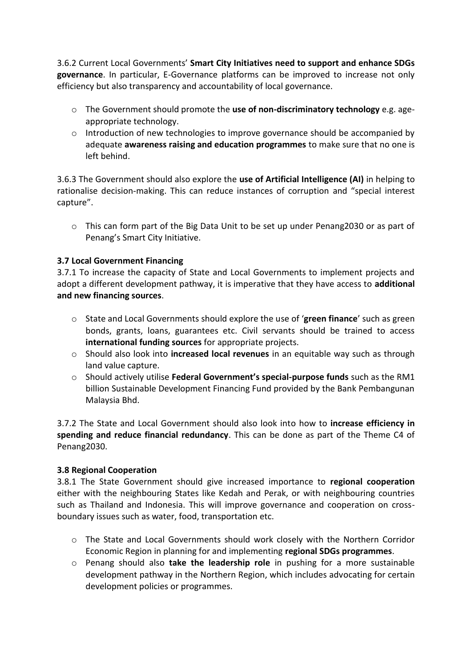3.6.2 Current Local Governments' **Smart City Initiatives need to support and enhance SDGs governance**. In particular, E-Governance platforms can be improved to increase not only efficiency but also transparency and accountability of local governance.

- o The Government should promote the **use of non-discriminatory technology** e.g. ageappropriate technology.
- $\circ$  Introduction of new technologies to improve governance should be accompanied by adequate **awareness raising and education programmes** to make sure that no one is left behind.

3.6.3 The Government should also explore the **use of Artificial Intelligence (AI)** in helping to rationalise decision-making. This can reduce instances of corruption and "special interest capture".

o This can form part of the Big Data Unit to be set up under Penang2030 or as part of Penang's Smart City Initiative.

### **3.7 Local Government Financing**

3.7.1 To increase the capacity of State and Local Governments to implement projects and adopt a different development pathway, it is imperative that they have access to **additional and new financing sources**.

- o State and Local Governments should explore the use of '**green finance**' such as green bonds, grants, loans, guarantees etc. Civil servants should be trained to access **international funding sources** for appropriate projects.
- o Should also look into **increased local revenues** in an equitable way such as through land value capture.
- o Should actively utilise **Federal Government's special-purpose funds** such as the RM1 billion Sustainable Development Financing Fund provided by the Bank Pembangunan Malaysia Bhd.

3.7.2 The State and Local Government should also look into how to **increase efficiency in spending and reduce financial redundancy**. This can be done as part of the Theme C4 of Penang2030.

#### **3.8 Regional Cooperation**

3.8.1 The State Government should give increased importance to **regional cooperation** either with the neighbouring States like Kedah and Perak, or with neighbouring countries such as Thailand and Indonesia. This will improve governance and cooperation on crossboundary issues such as water, food, transportation etc.

- o The State and Local Governments should work closely with the Northern Corridor Economic Region in planning for and implementing **regional SDGs programmes**.
- o Penang should also **take the leadership role** in pushing for a more sustainable development pathway in the Northern Region, which includes advocating for certain development policies or programmes.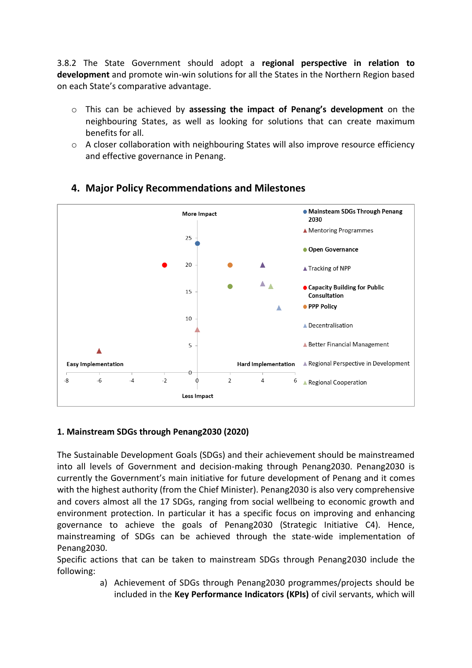3.8.2 The State Government should adopt a **regional perspective in relation to development** and promote win-win solutions for all the States in the Northern Region based on each State's comparative advantage.

- o This can be achieved by **assessing the impact of Penang's development** on the neighbouring States, as well as looking for solutions that can create maximum benefits for all.
- $\circ$  A closer collaboration with neighbouring States will also improve resource efficiency and effective governance in Penang.



# **4. Major Policy Recommendations and Milestones**

# **1. Mainstream SDGs through Penang2030 (2020)**

The Sustainable Development Goals (SDGs) and their achievement should be mainstreamed into all levels of Government and decision-making through Penang2030. Penang2030 is currently the Government's main initiative for future development of Penang and it comes with the highest authority (from the Chief Minister). Penang2030 is also very comprehensive and covers almost all the 17 SDGs, ranging from social wellbeing to economic growth and environment protection. In particular it has a specific focus on improving and enhancing governance to achieve the goals of Penang2030 (Strategic Initiative C4). Hence, mainstreaming of SDGs can be achieved through the state-wide implementation of Penang2030.

Specific actions that can be taken to mainstream SDGs through Penang2030 include the following:

> a) Achievement of SDGs through Penang2030 programmes/projects should be included in the **Key Performance Indicators (KPIs)** of civil servants, which will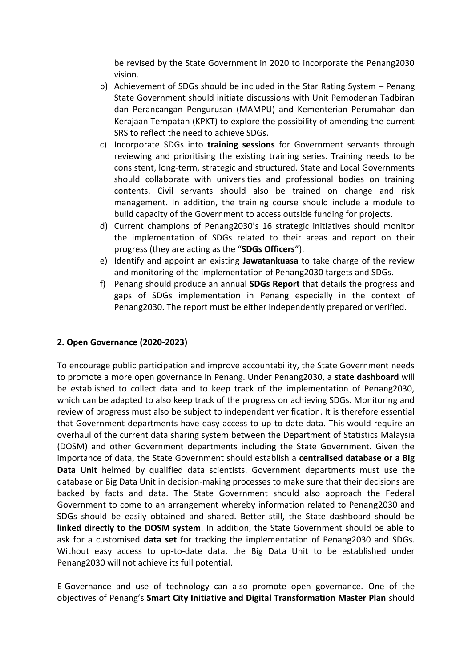be revised by the State Government in 2020 to incorporate the Penang2030 vision.

- b) Achievement of SDGs should be included in the Star Rating System Penang State Government should initiate discussions with Unit Pemodenan Tadbiran dan Perancangan Pengurusan (MAMPU) and Kementerian Perumahan dan Kerajaan Tempatan (KPKT) to explore the possibility of amending the current SRS to reflect the need to achieve SDGs.
- c) Incorporate SDGs into **training sessions** for Government servants through reviewing and prioritising the existing training series. Training needs to be consistent, long-term, strategic and structured. State and Local Governments should collaborate with universities and professional bodies on training contents. Civil servants should also be trained on change and risk management. In addition, the training course should include a module to build capacity of the Government to access outside funding for projects.
- d) Current champions of Penang2030's 16 strategic initiatives should monitor the implementation of SDGs related to their areas and report on their progress (they are acting as the "**SDGs Officers**").
- e) Identify and appoint an existing **Jawatankuasa** to take charge of the review and monitoring of the implementation of Penang2030 targets and SDGs.
- f) Penang should produce an annual **SDGs Report** that details the progress and gaps of SDGs implementation in Penang especially in the context of Penang2030. The report must be either independently prepared or verified.

#### **2. Open Governance (2020-2023)**

To encourage public participation and improve accountability, the State Government needs to promote a more open governance in Penang. Under Penang2030, a **state dashboard** will be established to collect data and to keep track of the implementation of Penang2030, which can be adapted to also keep track of the progress on achieving SDGs. Monitoring and review of progress must also be subject to independent verification. It is therefore essential that Government departments have easy access to up-to-date data. This would require an overhaul of the current data sharing system between the Department of Statistics Malaysia (DOSM) and other Government departments including the State Government. Given the importance of data, the State Government should establish a **centralised database or a Big Data Unit** helmed by qualified data scientists. Government departments must use the database or Big Data Unit in decision-making processes to make sure that their decisions are backed by facts and data. The State Government should also approach the Federal Government to come to an arrangement whereby information related to Penang2030 and SDGs should be easily obtained and shared. Better still, the State dashboard should be **linked directly to the DOSM system**. In addition, the State Government should be able to ask for a customised **data set** for tracking the implementation of Penang2030 and SDGs. Without easy access to up-to-date data, the Big Data Unit to be established under Penang2030 will not achieve its full potential.

E-Governance and use of technology can also promote open governance. One of the objectives of Penang's **Smart City Initiative and Digital Transformation Master Plan** should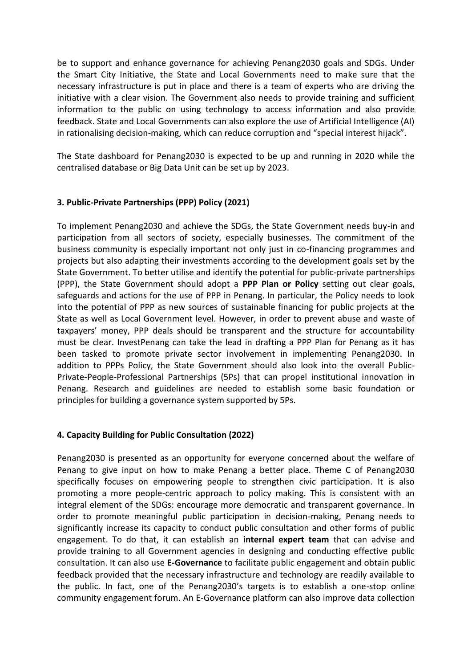be to support and enhance governance for achieving Penang2030 goals and SDGs. Under the Smart City Initiative, the State and Local Governments need to make sure that the necessary infrastructure is put in place and there is a team of experts who are driving the initiative with a clear vision. The Government also needs to provide training and sufficient information to the public on using technology to access information and also provide feedback. State and Local Governments can also explore the use of Artificial Intelligence (AI) in rationalising decision-making, which can reduce corruption and "special interest hijack".

The State dashboard for Penang2030 is expected to be up and running in 2020 while the centralised database or Big Data Unit can be set up by 2023.

#### **3. Public-Private Partnerships (PPP) Policy (2021)**

To implement Penang2030 and achieve the SDGs, the State Government needs buy-in and participation from all sectors of society, especially businesses. The commitment of the business community is especially important not only just in co-financing programmes and projects but also adapting their investments according to the development goals set by the State Government. To better utilise and identify the potential for public-private partnerships (PPP), the State Government should adopt a **PPP Plan or Policy** setting out clear goals, safeguards and actions for the use of PPP in Penang. In particular, the Policy needs to look into the potential of PPP as new sources of sustainable financing for public projects at the State as well as Local Government level. However, in order to prevent abuse and waste of taxpayers' money, PPP deals should be transparent and the structure for accountability must be clear. InvestPenang can take the lead in drafting a PPP Plan for Penang as it has been tasked to promote private sector involvement in implementing Penang2030. In addition to PPPs Policy, the State Government should also look into the overall Public-Private-People-Professional Partnerships (5Ps) that can propel institutional innovation in Penang. Research and guidelines are needed to establish some basic foundation or principles for building a governance system supported by 5Ps.

#### **4. Capacity Building for Public Consultation (2022)**

Penang2030 is presented as an opportunity for everyone concerned about the welfare of Penang to give input on how to make Penang a better place. Theme C of Penang2030 specifically focuses on empowering people to strengthen civic participation. It is also promoting a more people-centric approach to policy making. This is consistent with an integral element of the SDGs: encourage more democratic and transparent governance. In order to promote meaningful public participation in decision-making, Penang needs to significantly increase its capacity to conduct public consultation and other forms of public engagement. To do that, it can establish an **internal expert team** that can advise and provide training to all Government agencies in designing and conducting effective public consultation. It can also use **E-Governance** to facilitate public engagement and obtain public feedback provided that the necessary infrastructure and technology are readily available to the public. In fact, one of the Penang2030's targets is to establish a one-stop online community engagement forum. An E-Governance platform can also improve data collection